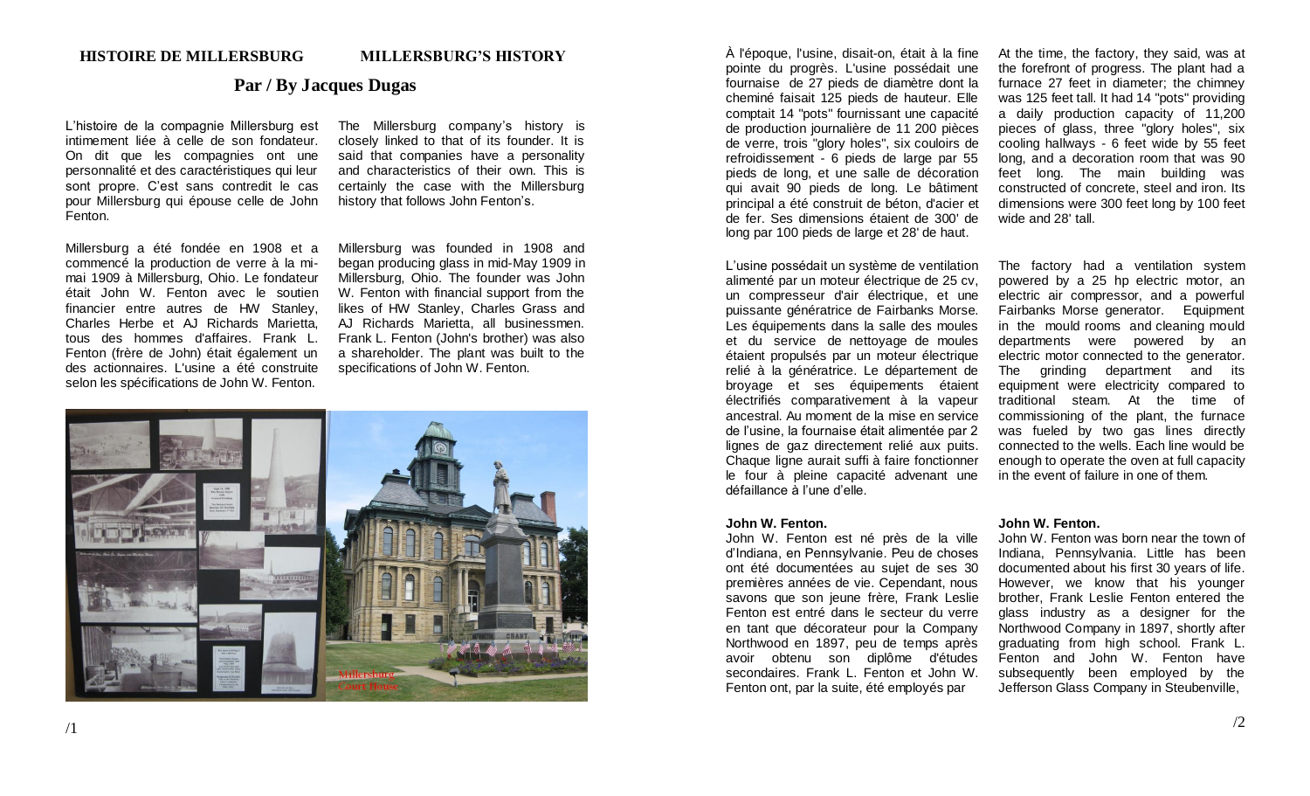# **Par / By Jacques Dugas**

L'histoire de la compagnie Millersburg est intimement liée à celle de son fondateur. On dit que les compagnies ont une personnalité et des caractéristiques qui leur sont propre. C'est sans contredit le cas pour Millersburg qui épouse celle de John Fenton.

Millersburg a été fondée en 1908 et a commencé la production de verre à la mimai 1909 à Millersburg, Ohio. Le fondateur était John W. Fenton avec le soutien financier entre autres de HW Stanley, Charles Herbe et AJ Richards Marietta, tous des hommes d'affaires. Frank L. Fenton (frère de John) était également un des actionnaires. L'usine a été construite selon les spécifications de John W. Fenton.

The Millersburg company's history is closely linked to that of its founder. It is said that companies have a personality and characteristics of their own. This is certainly the case with the Millersburg history that follows John Fenton's.

Millersburg was founded in 1908 and began producing glass in mid-May 1909 in Millersburg, Ohio. The founder was John W. Fenton with financial support from the likes of HW Stanley, Charles Grass and AJ Richards Marietta, all businessmen. Frank L. Fenton (John's brother) was also a shareholder. The plant was built to the specifications of John W. Fenton.



À l'époque, l'usine, disait-on, était à la fine pointe du progrès. L'usine possédait une fournaise de 27 pieds de diamètre dont la cheminé faisait 125 pieds de hauteur. Elle comptait 14 "pots" fournissant une capacité de production journalière de 11 200 pièces de verre, trois "glory holes", six couloirs de refroidissement - 6 pieds de large par 55 pieds de long, et une salle de décoration qui avait 90 pieds de long. Le bâtiment principal a été construit de béton, d'acier et de fer. Ses dimensions étaient de 300' de long par 100 pieds de large et 28' de haut.

L'usine possédait un système de ventilation alimenté par un moteur électrique de 25 cv, un compresseur d'air électrique, et une puissante génératrice de Fairbanks Morse. Les équipements dans la salle des moules et du service de nettoyage de moules étaient propulsés par un moteur électrique relié à la génératrice. Le département de broyage et ses équipements étaient électrifiés comparativement à la vapeur ancestral. Au moment de la mise en service de l'usine, la fournaise était alimentée par 2 lignes de gaz directement relié aux puits. Chaque ligne aurait suffi à faire fonctionner le four à pleine capacité advenant une défaillance à l'une d'elle.

### **John W. Fenton.**

John W. Fenton est né près de la ville d'Indiana, en Pennsylvanie. Peu de choses ont été documentées au sujet de ses 30 premières années de vie. Cependant, nous savons que son jeune frère, Frank Leslie Fenton est entré dans le secteur du verre en tant que décorateur pour la Company Northwood en 1897, peu de temps après avoir obtenu son diplôme d'études secondaires. Frank L. Fenton et John W. Fenton ont, par la suite, été employés par

At the time, the factory, they said, was at the forefront of progress. The plant had a furnace 27 feet in diameter; the chimney was 125 feet tall. It had 14 "pots" providing a daily production capacity of 11,200 pieces of glass, three "glory holes", six cooling hallways - 6 feet wide by 55 feet long, and a decoration room that was 90 feet long. The main building was constructed of concrete, steel and iron. Its dimensions were 300 feet long by 100 feet wide and 28' tall.

The factory had a ventilation system powered by a 25 hp electric motor, an electric air compressor, and a powerful Fairbanks Morse generator. Equipment in the mould rooms and cleaning mould departments were powered by an electric motor connected to the generator. The grinding department and its equipment were electricity compared to traditional steam. At the time of commissioning of the plant, the furnace was fueled by two gas lines directly connected to the wells. Each line would be enough to operate the oven at full capacity in the event of failure in one of them.

### **John W. Fenton.**

John W. Fenton was born near the town of Indiana, Pennsylvania. Little has been documented about his first 30 years of life. However, we know that his younger brother, Frank Leslie Fenton entered the glass industry as a designer for the Northwood Company in 1897, shortly after graduating from high school. Frank L. Fenton and John W. Fenton have subsequently been employed by the Jefferson Glass Company in Steubenville,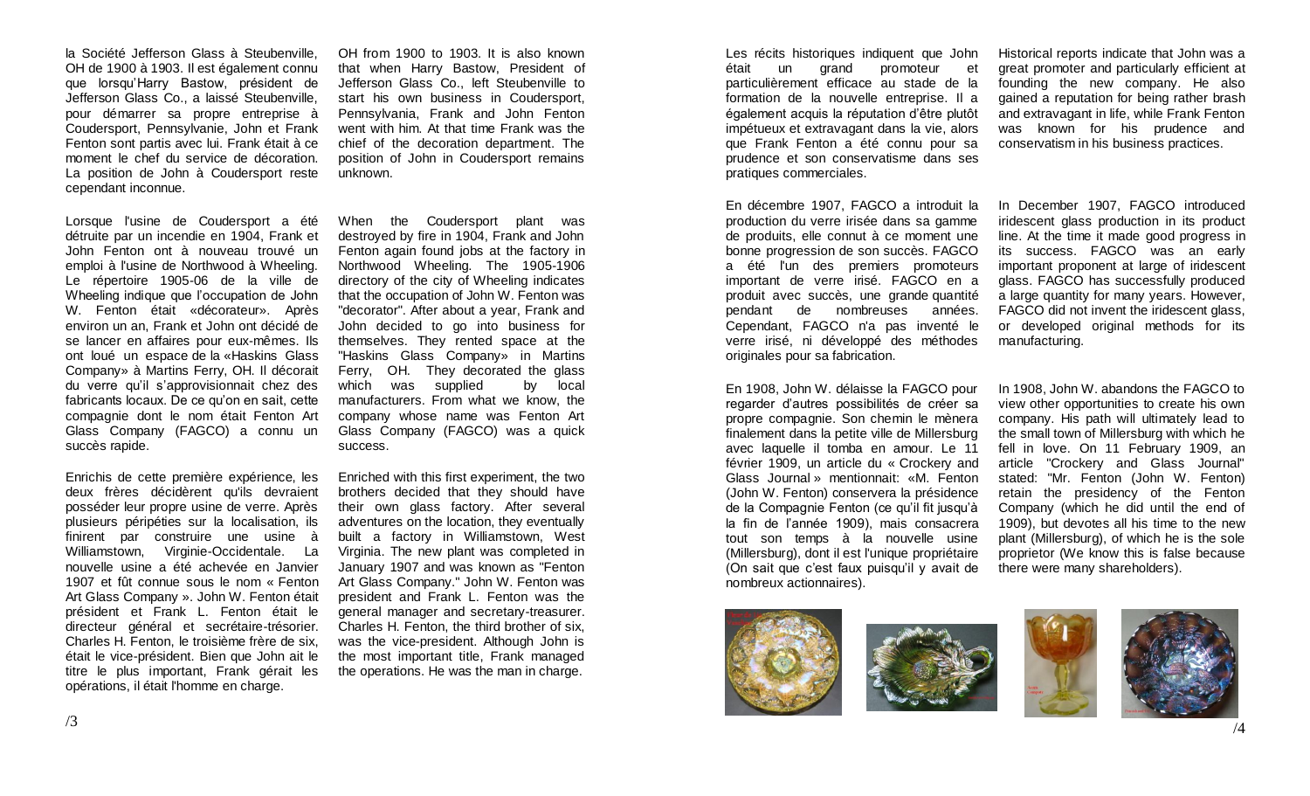la Société Jefferson Glass à Steubenville, OH de 1900 à 1903. Il est également connu que lorsqu'Harry Bastow, président de Jefferson Glass Co., a laissé Steubenville, pour démarrer sa propre entreprise à Coudersport, Pennsylvanie, John et Frank Fenton sont partis avec lui. Frank était à ce moment le chef du service de décoration. La position de John à Coudersport reste cependant inconnue.

Lorsque l'usine de Coudersport a été détruite par un incendie en 1904, Frank et John Fenton ont à nouveau trouvé un emploi à l'usine de Northwood à Wheeling. Le répertoire 1905-06 de la ville de Wheeling indique que l'occupation de John W. Fenton était «décorateur». Après environ un an, Frank et John ont décidé de se lancer en affaires pour eux-mêmes. Ils ont loué un espace de la «Haskins Glass Company» à Martins Ferry, OH. Il décorait du verre qu'il s'approvisionnait chez des fabricants locaux. De ce qu'on en sait, cette compagnie dont le nom était Fenton Art Glass Company (FAGCO) a connu un succès rapide.

Enrichis de cette première expérience, les deux frères décidèrent qu'ils devraient posséder leur propre usine de verre. Après plusieurs péripéties sur la localisation, ils finirent par construire une usine à Williamstown, Virginie-Occidentale. La nouvelle usine a été achevée en Janvier 1907 et fût connue sous le nom « Fenton Art Glass Company ». John W. Fenton était président et Frank L. Fenton était le directeur général et secrétaire-trésorier. Charles H. Fenton, le troisième frère de six, était le vice-président. Bien que John ait le titre le plus important, Frank gérait les opérations, il était l'homme en charge.

OH from 1900 to 1903. It is also known that when Harry Bastow, President of Jefferson Glass Co., left Steubenville to start his own business in Coudersport, Pennsylvania, Frank and John Fenton went with him. At that time Frank was the chief of the decoration department. The position of John in Coudersport remains unknown.

When the Coudersport plant was destroyed by fire in 1904, Frank and John Fenton again found jobs at the factory in Northwood Wheeling. The 1905-1906 directory of the city of Wheeling indicates that the occupation of John W. Fenton was "decorator". After about a year, Frank and John decided to go into business for themselves. They rented space at the "Haskins Glass Company» in Martins Ferry, OH. They decorated the glass which was supplied by local manufacturers. From what we know, the company whose name was Fenton Art Glass Company (FAGCO) was a quick success.

Enriched with this first experiment, the two brothers decided that they should have their own glass factory. After several adventures on the location, they eventually built a factory in Williamstown, West Virginia. The new plant was completed in January 1907 and was known as "Fenton Art Glass Company." John W. Fenton was president and Frank L. Fenton was the general manager and secretary-treasurer. Charles H. Fenton, the third brother of six, was the vice-president. Although John is the most important title, Frank managed the operations. He was the man in charge.

Les récits historiques indiquent que John était un grand promoteur et particulièrement efficace au stade de la formation de la nouvelle entreprise. Il a également acquis la réputation d'être plutôt impétueux et extravagant dans la vie, alors que Frank Fenton a été connu pour sa prudence et son conservatisme dans ses pratiques commerciales.

En décembre 1907, FAGCO a introduit la production du verre irisée dans sa gamme de produits, elle connut à ce moment une bonne progression de son succès. FAGCO a été l'un des premiers promoteurs important de verre irisé. FAGCO en a produit avec succès, une grande quantité pendant de nombreuses années. Cependant, FAGCO n'a pas inventé le verre irisé, ni développé des méthodes originales pour sa fabrication.

En 1908, John W. délaisse la FAGCO pour regarder d'autres possibilités de créer sa propre compagnie. Son chemin le mènera finalement dans la petite ville de Millersburg avec laquelle il tomba en amour. Le 11 février 1909, un article du « Crockery and Glass Journal » mentionnait: «M. Fenton (John W. Fenton) conservera la présidence de la Compagnie Fenton (ce qu'il fit jusqu'à la fin de l'année 1909), mais consacrera tout son temps à la nouvelle usine (Millersburg), dont il est l'unique propriétaire (On sait que c'est faux puisqu'il y avait de nombreux actionnaires).

Historical reports indicate that John was a great promoter and particularly efficient at founding the new company. He also gained a reputation for being rather brash and extravagant in life, while Frank Fenton was known for his prudence and conservatism in his business practices.

In December 1907, FAGCO introduced iridescent glass production in its product line. At the time it made good progress in its success. FAGCO was an early important proponent at large of iridescent glass. FAGCO has successfully produced a large quantity for many years. However, FAGCO did not invent the iridescent glass, or developed original methods for its manufacturing.

In 1908, John W. abandons the FAGCO to view other opportunities to create his own company. His path will ultimately lead to the small town of Millersburg with which he fell in love. On 11 February 1909, an article "Crockery and Glass Journal" stated: "Mr. Fenton (John W. Fenton) retain the presidency of the Fenton Company (which he did until the end of 1909), but devotes all his time to the new plant (Millersburg), of which he is the sole proprietor (We know this is false because there were many shareholders).





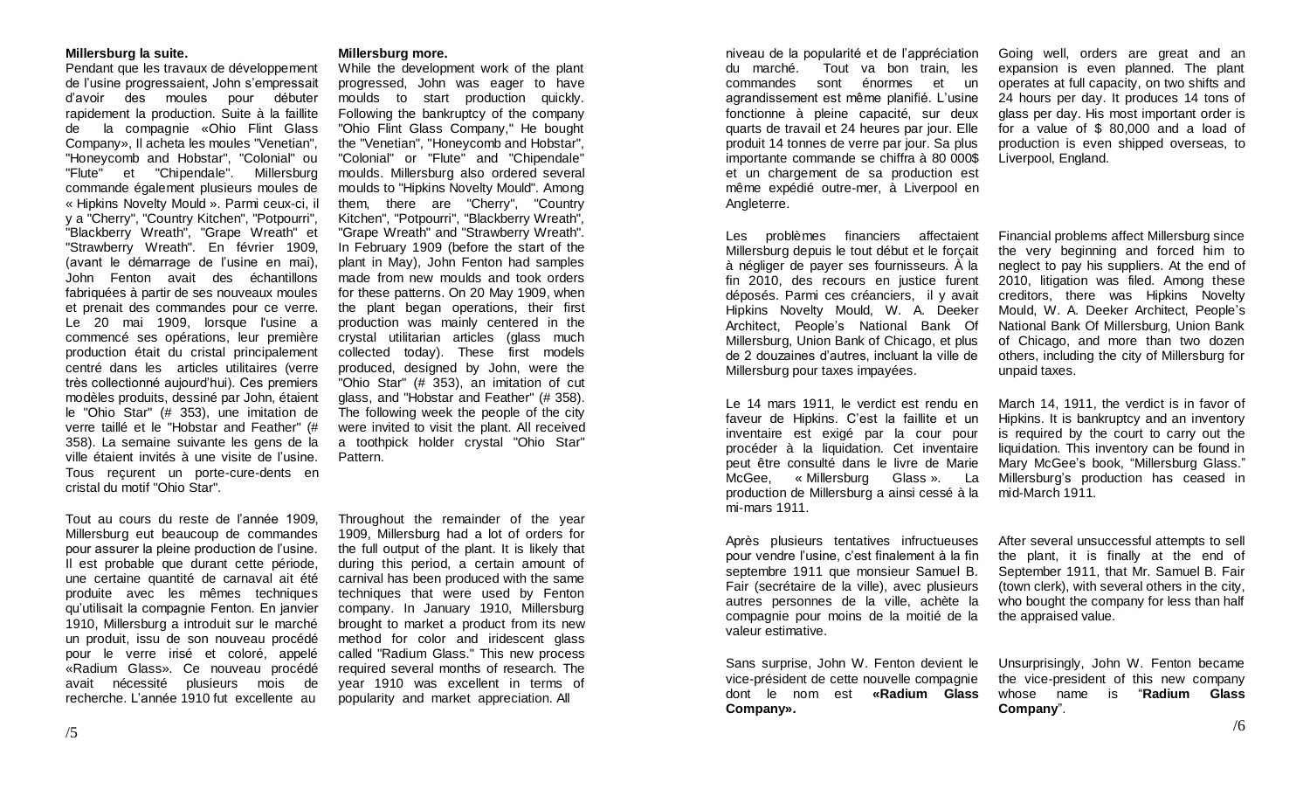### **Millersburg la suite.**

Pendant que les travaux de développement de l'usine progressaient, John s'empressait d'avoir des moules pour débuter rapidement la production. Suite à la faillite de la compagnie «Ohio Flint Glass Company», Il acheta les moules "Venetian", "Honeycomb and Hobstar", "Colonial" ou "Flute" et "Chipendale". Millersburg commande également plusieurs moules de « Hipkins Novelty Mould ». Parmi ceux-ci, il y a "Cherry", "Country Kitchen", "Potpourri", "Blackberry Wreath", "Grape Wreath" et "Strawberry Wreath". En février 1909, (avant le démarrage de l'usine en mai), John Fenton avait des échantillons fabriquées à partir de ses nouveaux moules et prenait des commandes pour ce verre. Le 20 mai 1909, lorsque l'usine a commencé ses opérations, leur première production était du cristal principalement centré dans les articles utilitaires (verre très collectionné aujourd'hui). Ces premiers modèles produits, dessiné par John, étaient le "Ohio Star" (# 353), une imitation de verre taillé et le "Hobstar and Feather" (# 358). La semaine suivante les gens de la ville étaient invités à une visite de l'usine. Tous reçurent un porte-cure-dents en cristal du motif "Ohio Star".

Tout au cours du reste de l'année 1909, Millersburg eut beaucoup de commandes pour assurer la pleine production de l'usine. Il est probable que durant cette période, une certaine quantité de carnaval ait été produite avec les mêmes techniques qu'utilisait la compagnie Fenton. En janvier 1910, Millersburg a introduit sur le marché un produit, issu de son nouveau procédé pour le verre irisé et coloré, appelé «Radium Glass». Ce nouveau procédé avait nécessité plusieurs mois de recherche. L'année 1910 fut excellente au

#### **Millersburg more.**

While the development work of the plant progressed, John was eager to have moulds to start production quickly. Following the bankruptcy of the company "Ohio Flint Glass Company," He bought the "Venetian", "Honeycomb and Hobstar", "Colonial" or "Flute" and "Chipendale" moulds. Millersburg also ordered several moulds to "Hipkins Novelty Mould". Among them, there are "Cherry", "Country Kitchen", "Potpourri", "Blackberry Wreath", "Grape Wreath" and "Strawberry Wreath". In February 1909 (before the start of the plant in May), John Fenton had samples made from new moulds and took orders for these patterns. On 20 May 1909, when the plant began operations, their first production was mainly centered in the crystal utilitarian articles (glass much collected today). These first models produced, designed by John, were the "Ohio Star" (# 353), an imitation of cut glass, and "Hobstar and Feather" (# 358). The following week the people of the city were invited to visit the plant. All received a toothpick holder crystal "Ohio Star" Pattern.

Throughout the remainder of the year 1909, Millersburg had a lot of orders for the full output of the plant. It is likely that during this period, a certain amount of carnival has been produced with the same techniques that were used by Fenton company. In January 1910, Millersburg brought to market a product from its new method for color and iridescent glass called "Radium Glass." This new process required several months of research. The year 1910 was excellent in terms of popularity and market appreciation. All

niveau de la popularité et de l'appréciation du marché. Tout va bon train, les commandes sont énormes et un agrandissement est même planifié. L'usine fonctionne à pleine capacité, sur deux quarts de travail et 24 heures par jour. Elle produit 14 tonnes de verre par jour. Sa plus importante commande se chiffra à 80 000\$ et un chargement de sa production est même expédié outre-mer, à Liverpool en Angleterre.

Les problèmes financiers affectaient Millersburg depuis le tout début et le forçait à négliger de payer ses fournisseurs. À la fin 2010, des recours en justice furent déposés. Parmi ces créanciers, il y avait Hipkins Novelty Mould, W. A. Deeker Architect, People's National Bank Of Millersburg, Union Bank of Chicago, et plus de 2 douzaines d'autres, incluant la ville de Millersburg pour taxes impayées.

Le 14 mars 1911, le verdict est rendu en faveur de Hipkins. C'est la faillite et un inventaire est exigé par la cour pour procéder à la liquidation. Cet inventaire peut être consulté dans le livre de Marie McGee, « Millersburg Glass ». La production de Millersburg a ainsi cessé à la mi-mars 1911.

Après plusieurs tentatives infructueuses pour vendre l'usine, c'est finalement à la fin septembre 1911 que monsieur Samuel B. Fair (secrétaire de la ville), avec plusieurs autres personnes de la ville, achète la compagnie pour moins de la moitié de la valeur estimative.

Sans surprise, John W. Fenton devient le vice-président de cette nouvelle compagnie dont le nom est **«Radium Glass Company».**

Going well, orders are great and an expansion is even planned. The plant operates at full capacity, on two shifts and 24 hours per day. It produces 14 tons of glass per day. His most important order is for a value of \$ 80,000 and a load of production is even shipped overseas, to Liverpool, England.

Financial problems affect Millersburg since the very beginning and forced him to neglect to pay his suppliers. At the end of 2010, litigation was filed. Among these creditors, there was Hipkins Novelty Mould, W. A. Deeker Architect, People's National Bank Of Millersburg, Union Bank of Chicago, and more than two dozen others, including the city of Millersburg for unpaid taxes.

March 14, 1911, the verdict is in favor of Hipkins. It is bankruptcy and an inventory is required by the court to carry out the liquidation. This inventory can be found in Mary McGee's book, "Millersburg Glass." Millersburg's production has ceased in mid-March 1911.

After several unsuccessful attempts to sell the plant, it is finally at the end of September 1911, that Mr. Samuel B. Fair (town clerk), with several others in the city, who bought the company for less than half the appraised value.

Unsurprisingly, John W. Fenton became the vice-president of this new company whose name is "**Radium Glass Company**".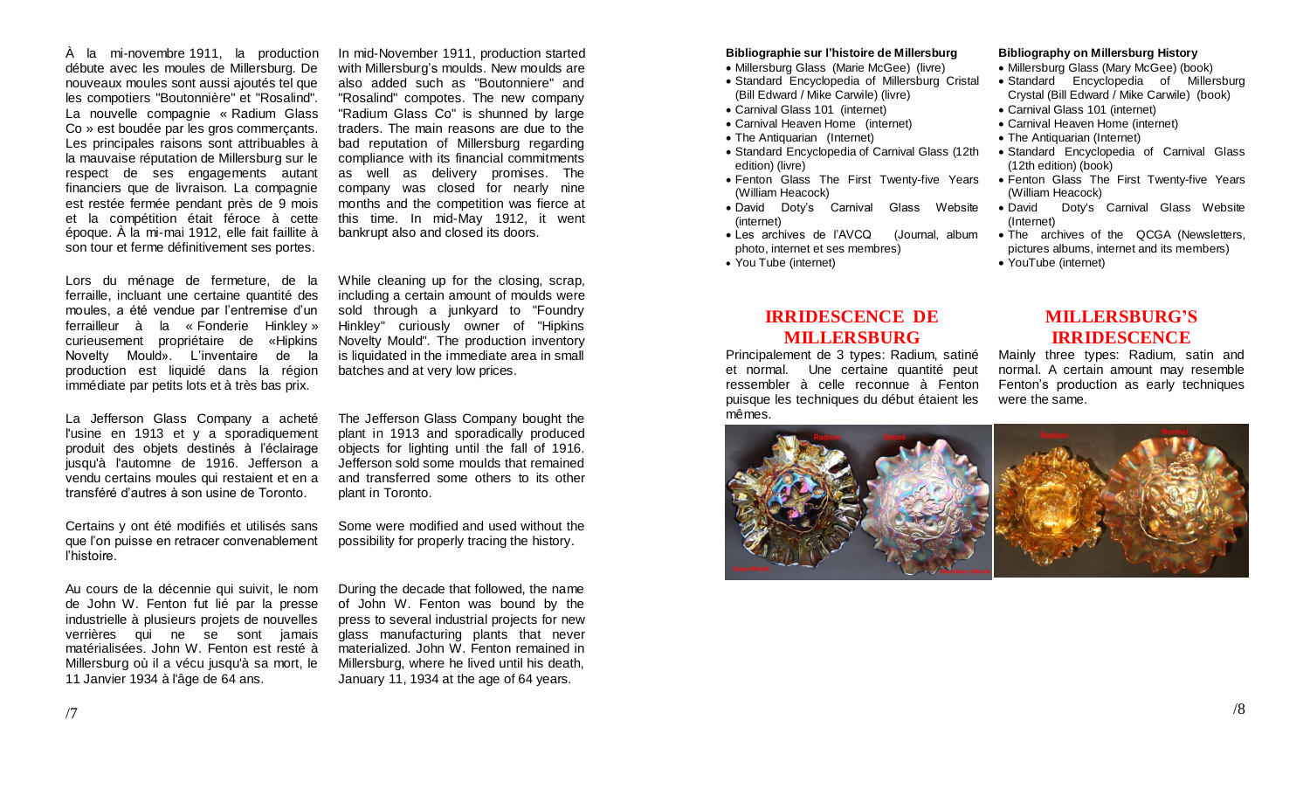À la mi-novembre 1911, la production débute avec les moules de Millersburg. De nouveaux moules sont aussi ajoutés tel que les compotiers "Boutonnière" et "Rosalind". La nouvelle compagnie « Radium Glass Co » est boudée par les gros commerçants. Les principales raisons sont attribuables à la mauvaise réputation de Millersburg sur le respect de ses engagements autant financiers que de livraison. La compagnie est restée fermée pendant près de 9 mois et la compétition était féroce à cette époque. À la mi-mai 1912, elle fait faillite à son tour et ferme définitivement ses portes.

In mid-November 1911, production started with Millersburg's moulds. New moulds are also added such as "Boutonniere" and "Rosalind" compotes. The new company "Radium Glass Co" is shunned by large traders. The main reasons are due to the bad reputation of Millersburg regarding compliance with its financial commitments as well as delivery promises. The company was closed for nearly nine months and the competition was fierce at this time. In mid-May 1912, it went bankrupt also and closed its doors.

Lors du ménage de fermeture, de la ferraille, incluant une certaine quantité des moules, a été vendue par l'entremise d'un ferrailleur à la « Fonderie Hinkley » curieusement propriétaire de «Hipkins Novelty Mould». L'inventaire de la production est liquidé dans la région immédiate par petits lots et à très bas prix.

La Jefferson Glass Company a acheté l'usine en 1913 et y a sporadiquement produit des objets destinés à l'éclairage jusqu'à l'automne de 1916. Jefferson a vendu certains moules qui restaient et en a transféré d'autres à son usine de Toronto.

Certains y ont été modifiés et utilisés sans que l'on puisse en retracer convenablement l'histoire.

Au cours de la décennie qui suivit, le nom de John W. Fenton fut lié par la presse industrielle à plusieurs projets de nouvelles verrières qui ne se sont jamais matérialisées. John W. Fenton est resté à Millersburg où il a vécu jusqu'à sa mort, le 11 Janvier 1934 à l'âge de 64 ans.

While cleaning up for the closing, scrap, including a certain amount of moulds were sold through a junkyard to "Foundry Hinkley" curiously owner of "Hipkins Novelty Mould". The production inventory is liquidated in the immediate area in small batches and at very low prices.

The Jefferson Glass Company bought the plant in 1913 and sporadically produced objects for lighting until the fall of 1916. Jefferson sold some moulds that remained and transferred some others to its other plant in Toronto.

Some were modified and used without the possibility for properly tracing the history.

During the decade that followed, the name of John W. Fenton was bound by the press to several industrial projects for new glass manufacturing plants that never materialized. John W. Fenton remained in Millersburg, where he lived until his death, January 11, 1934 at the age of 64 years.

#### **Bibliographie sur l'histoire de Millersburg**

• Millersburg Glass (Marie McGee) (livre)

- Standard Encyclopedia of Millersburg Cristal (Bill Edward / Mike Carwile) (livre)
- Carnival Glass 101 (internet)
- Carnival Heaven Home (internet)
- The Antiquarian (Internet)
- Standard Encyclopedia of Carnival Glass (12th edition) (livre)
- Fenton Glass The First Twenty-five Years (William Heacock)
- David Doty's Carnival Glass Website (internet)
- Les archives de l'AVCQ (Journal, album photo, internet et ses membres)
- You Tube (internet)

# **IRRIDESCENCE DE MILLERSBURG**

Principalement de 3 types: Radium, satiné et normal. Une certaine quantité peut ressembler à celle reconnue à Fenton puisque les techniques du début étaient les mêmes.

#### **Bibliography on Millersburg History**

- Millersburg Glass (Mary McGee) (book)
- Standard Encyclopedia of Millersburg Crystal (Bill Edward / Mike Carwile) (book)
- Carnival Glass 101 (internet)
- Carnival Heaven Home (internet)
- The Antiquarian (Internet)
- Standard Encyclopedia of Carnival Glass (12th edition) (book)
- Fenton Glass The First Twenty-five Years (William Heacock)
- David Doty's Carnival Glass Website (Internet)
- The archives of the QCGA (Newsletters, pictures albums, internet and its members)
- YouTube (internet)

# **MILLERSBURG'S IRRIDESCENCE**

Mainly three types: Radium, satin and normal. A certain amount may resemble Fenton's production as early techniques were the same.